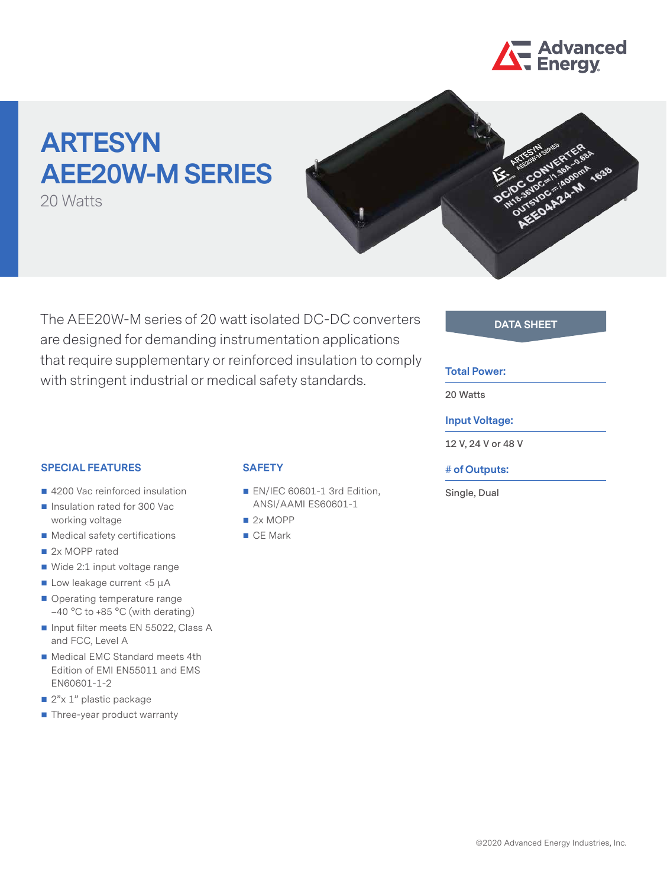

# **ARTESYN AEE20W-M SERIES**

20 Watts



The AEE20W-M series of 20 watt isolated DC-DC converters **DATA SHEET** are designed for demanding instrumentation applications that require supplementary or reinforced insulation to comply with stringent industrial or medical safety standards.

#### **Total Power:**

**20 Watts**

#### **Input Voltage:**

**12 V, 24 V or 48 V**

#### **# of Outputs:**

**Single, Dual**

#### **SPECIAL FEATURES**

- 4200 Vac reinforced insulation
- Insulation rated for 300 Vac working voltage
- Medical safety certifications
- 2x MOPP rated
- Wide 2:1 input voltage range
- $\blacksquare$  Low leakage current <5  $\mu$ A
- Operating temperature range –40 °C to +85 °C (with derating)
- Input filter meets EN 55022, Class A and FCC, Level A
- Medical EMC Standard meets 4th Edition of EMI EN55011 and EMS EN60601-1-2
- 2"x 1" plastic package
- Three-year product warranty

## **SAFETY**

- EN/IEC 60601-1 3rd Edition, ANSI/AAMI ES60601-1
- 2x MOPP
- CE Mark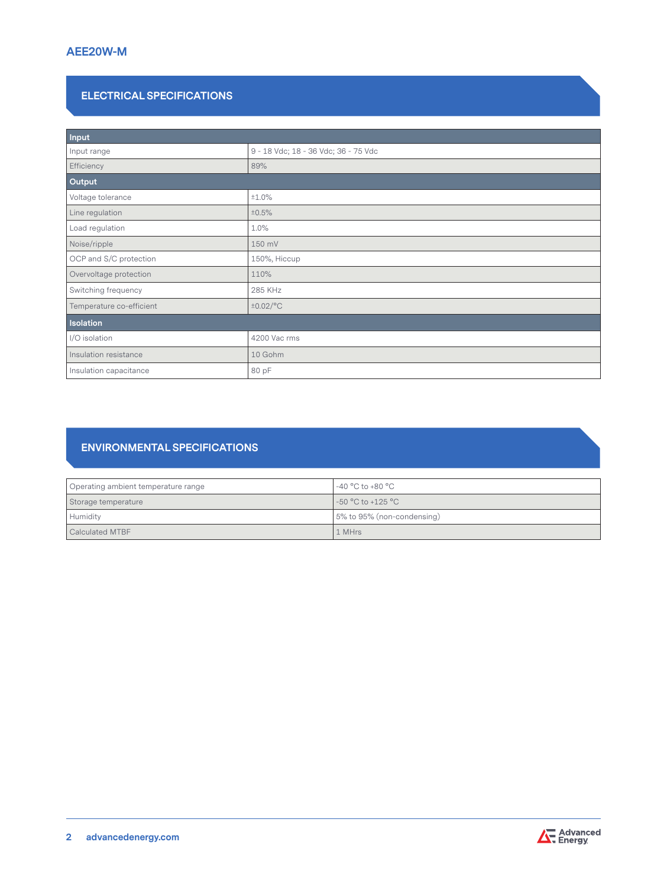# **ELECTRICAL SPECIFICATIONS**

| Input                    |                                      |  |  |  |
|--------------------------|--------------------------------------|--|--|--|
| Input range              | 9 - 18 Vdc; 18 - 36 Vdc; 36 - 75 Vdc |  |  |  |
| Efficiency               | 89%                                  |  |  |  |
| Output                   |                                      |  |  |  |
| Voltage tolerance        | ±1.0%                                |  |  |  |
| Line regulation          | ±0.5%                                |  |  |  |
| Load regulation          | 1.0%                                 |  |  |  |
| Noise/ripple             | 150 mV                               |  |  |  |
| OCP and S/C protection   | 150%, Hiccup                         |  |  |  |
| Overvoltage protection   | 110%                                 |  |  |  |
| Switching frequency      | 285 KHz                              |  |  |  |
| Temperature co-efficient | $\pm 0.02$ /°C                       |  |  |  |
| <b>Isolation</b>         |                                      |  |  |  |
| I/O isolation            | 4200 Vac rms                         |  |  |  |
| Insulation resistance    | 10 Gohm                              |  |  |  |
| Insulation capacitance   | 80 pF                                |  |  |  |

# **ENVIRONMENTAL SPECIFICATIONS**

| Operating ambient temperature range | $^{\circ}$ -40 °C to +80 °C $^{\circ}$ |
|-------------------------------------|----------------------------------------|
| Storage temperature                 | -50 °C to +125 °C                      |
| Humidity                            | 5% to 95% (non-condensing)             |
| Calculated MTBF                     | 1 MHrs                                 |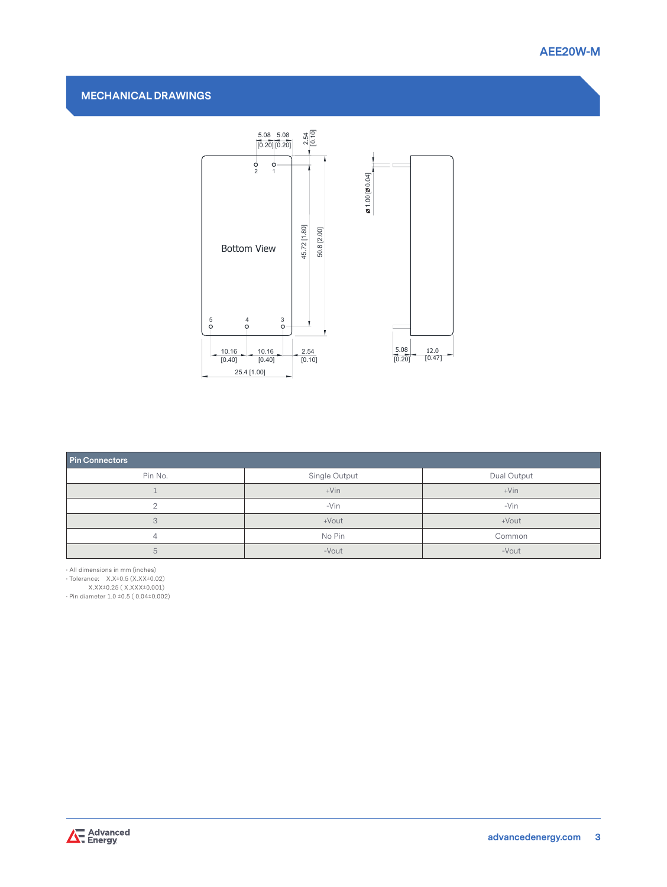

### **MECHANICAL DRAWINGS**



| <b>Pin Connectors</b> |               |             |  |  |  |  |
|-----------------------|---------------|-------------|--|--|--|--|
| Pin No.               | Single Output | Dual Output |  |  |  |  |
|                       | $+V$ in       | $+V$ in     |  |  |  |  |
|                       | $-Vin$        | $-Vin$      |  |  |  |  |
| 3                     | +Vout         | +Vout       |  |  |  |  |
|                       | No Pin        | Common      |  |  |  |  |
| G                     | -Vout         | -Vout       |  |  |  |  |

• All dimensions in mm (inches)

• Tolerance: X.X±0.5 (X.XX±0.02)

X.XX±0.25 ( X.XXX±0.001)

• Pin diameter 1.0 ±0.5 ( 0.04±0.002)

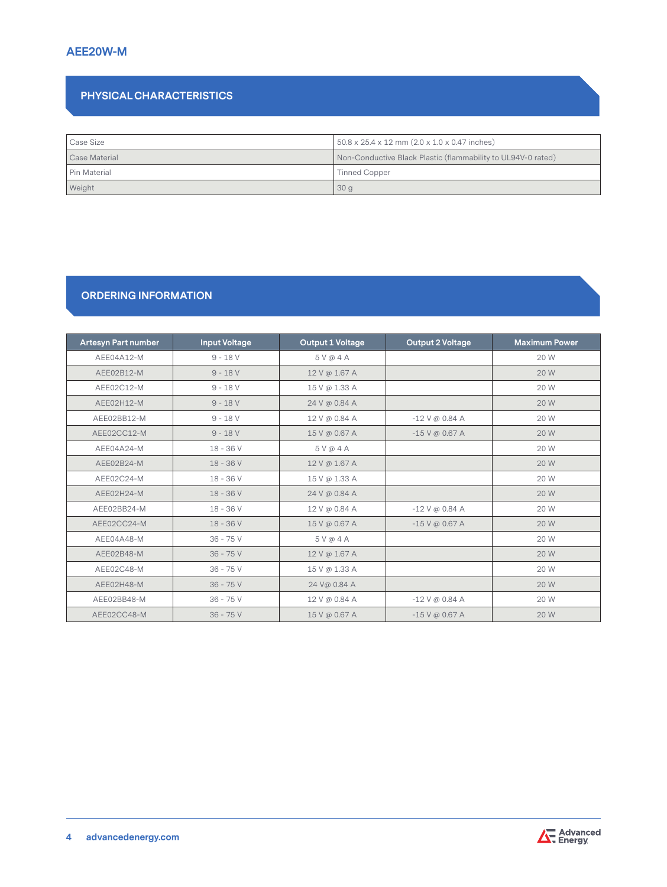# **AEE20W-M**

# **PHYSICAL CHARACTERISTICS**

| Case Size     | $50.8 \times 25.4 \times 12$ mm $(2.0 \times 1.0 \times 0.47$ inches) |  |
|---------------|-----------------------------------------------------------------------|--|
| Case Material | Non-Conductive Black Plastic (flammability to UL94V-0 rated)          |  |
| Pin Material  | <b>Tinned Copper</b>                                                  |  |
| Weight        | 30g                                                                   |  |

# **ORDERING INFORMATION**

| <b>Artesyn Part number</b> | <b>Input Voltage</b> | <b>Output 1 Voltage</b> | <b>Output 2 Voltage</b> | <b>Maximum Power</b> |
|----------------------------|----------------------|-------------------------|-------------------------|----------------------|
| AEE04A12-M                 | $9 - 18V$            | 5 V @ 4 A               |                         | 20 W                 |
| AEE02B12-M                 | $9 - 18V$            | 12 V @ 1.67 A           |                         | 20 W                 |
| AEE02C12-M                 | $9 - 18V$            | 15 V @ 1.33 A           |                         | 20 W                 |
| AEE02H12-M                 | $9 - 18V$            | 24 V @ 0.84 A           |                         | 20 W                 |
| AEE02BB12-M                | $9 - 18V$            | 12 V @ 0.84 A           | $-12$ V @ 0.84 A        | 20 W                 |
| AEE02CC12-M                | $9 - 18V$            | 15 V @ 0.67 A           | $-15$ V @ 0.67 A        | 20 W                 |
| AEE04A24-M                 | $18 - 36V$           | 5V@4A                   |                         | 20 W                 |
| AEE02B24-M                 | 18 - 36 V            | 12 V @ 1.67 A           |                         | 20 W                 |
| AEE02C24-M                 | $18 - 36V$           | 15 V @ 1.33 A           |                         | 20 W                 |
| AEE02H24-M                 | $18 - 36V$           | 24 V @ 0.84 A           |                         | 20 W                 |
| AEE02BB24-M                | $18 - 36V$           | 12 V @ 0.84 A           | $-12$ V @ 0.84 A        | 20 W                 |
| AEE02CC24-M                | $18 - 36V$           | 15 V @ 0.67 A           | $-15$ V @ 0.67 A        | 20 W                 |
| AEE04A48-M                 | $36 - 75V$           | 5V@4A                   |                         | 20 W                 |
| AEE02B48-M                 | $36 - 75V$           | 12 V @ 1.67 A           |                         | 20 W                 |
| AEE02C48-M                 | $36 - 75V$           | 15 V @ 1.33 A           |                         | 20 W                 |
| AEE02H48-M                 | $36 - 75V$           | 24 V@ 0.84 A            |                         | 20 W                 |
| AEE02BB48-M                | $36 - 75V$           | 12 V @ 0.84 A           | $-12$ V @ 0.84 A        | 20 W                 |
| AEE02CC48-M                | $36 - 75V$           | 15 V @ 0.67 A           | $-15$ V @ 0.67 A        | 20 W                 |